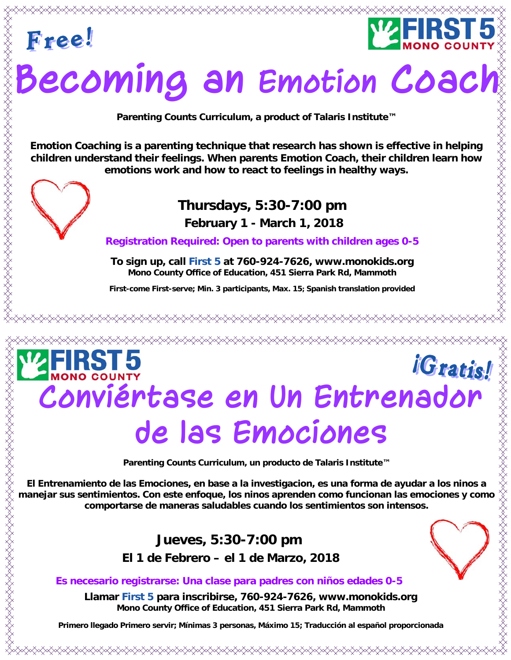



# **Becoming an Emotion Coach**

**Parenting Counts Curriculum, a product of Talaris Institute™** 

**Emotion Coaching is a parenting technique that research has shown is effective in helping children understand their feelings. When parents Emotion Coach, their children learn how emotions work and how to react to feelings in healthy ways.** 



### **Thursdays, 5:30-7:00 pm**

 **February 1 - March 1, 2018**

**Registration Required: Open to parents with children ages 0-5**

**To sign up, call First 5 at 760-924-7626, www.monokids.org Mono County Office of Education, 451 Sierra Park Rd, Mammoth** 

**First-come First-serve; Min. 3 participants, Max. 15; Spanish translation provided**

## *iGratis!* **Conviértase en Un Entrenador de las Emociones**

**Parenting Counts Curriculum, un producto de Talaris Institute™** 

**El Entrenamiento de las Emociones, en base a la investigacion, es una forma de ayudar a los ninos a manejar sus sentimientos. Con este enfoque, los ninos aprenden como funcionan las emociones y como comportarse de maneras saludables cuando los sentimientos son intensos.** 

### **Jueves, 5:30-7:00 pm**

 **El 1 de Febrero – el 1 de Marzo, 2018** 

#### **Es necesario registrarse: Una clase para padres con niños edades 0-5**

**Llamar First 5 para inscribirse, 760-924-7626, www.monokids.org Mono County Office of Education, 451 Sierra Park Rd, Mammoth** 

**Primero llegado Primero servir; Mínimas 3 personas, Máximo 15; Traducción al español proporcionada**